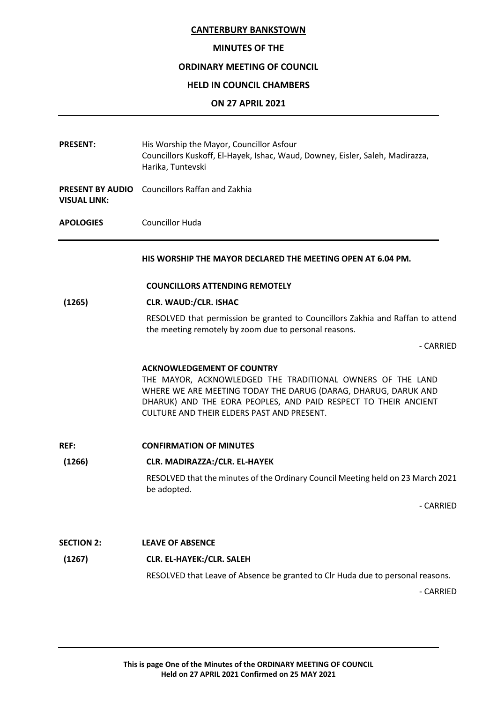# **MINUTES OF THE**

# **ORDINARY MEETING OF COUNCIL**

# **HELD IN COUNCIL CHAMBERS**

# **ON 27 APRIL 2021**

| <b>PRESENT:</b>                                | His Worship the Mayor, Councillor Asfour<br>Councillors Kuskoff, El-Hayek, Ishac, Waud, Downey, Eisler, Saleh, Madirazza,<br>Harika, Tuntevski                                                                                                                                     |
|------------------------------------------------|------------------------------------------------------------------------------------------------------------------------------------------------------------------------------------------------------------------------------------------------------------------------------------|
| <b>PRESENT BY AUDIO</b><br><b>VISUAL LINK:</b> | <b>Councillors Raffan and Zakhia</b>                                                                                                                                                                                                                                               |
| <b>APOLOGIES</b>                               | <b>Councillor Huda</b>                                                                                                                                                                                                                                                             |
|                                                | HIS WORSHIP THE MAYOR DECLARED THE MEETING OPEN AT 6.04 PM.                                                                                                                                                                                                                        |
|                                                | <b>COUNCILLORS ATTENDING REMOTELY</b>                                                                                                                                                                                                                                              |
| (1265)                                         | <b>CLR. WAUD:/CLR. ISHAC</b>                                                                                                                                                                                                                                                       |
|                                                | RESOLVED that permission be granted to Councillors Zakhia and Raffan to attend<br>the meeting remotely by zoom due to personal reasons.                                                                                                                                            |
|                                                | - CARRIED                                                                                                                                                                                                                                                                          |
|                                                | <b>ACKNOWLEDGEMENT OF COUNTRY</b><br>THE MAYOR, ACKNOWLEDGED THE TRADITIONAL OWNERS OF THE LAND<br>WHERE WE ARE MEETING TODAY THE DARUG (DARAG, DHARUG, DARUK AND<br>DHARUK) AND THE EORA PEOPLES, AND PAID RESPECT TO THEIR ANCIENT<br>CULTURE AND THEIR ELDERS PAST AND PRESENT. |
| <b>REF:</b>                                    | <b>CONFIRMATION OF MINUTES</b>                                                                                                                                                                                                                                                     |
| (1266)                                         | CLR. MADIRAZZA:/CLR. EL-HAYEK                                                                                                                                                                                                                                                      |
|                                                | RESOLVED that the minutes of the Ordinary Council Meeting held on 23 March 2021<br>be adopted.                                                                                                                                                                                     |
|                                                | - CARRIED                                                                                                                                                                                                                                                                          |
| <b>SECTION 2:</b>                              | <b>LEAVE OF ABSENCE</b>                                                                                                                                                                                                                                                            |
| (1267)                                         | CLR. EL-HAYEK:/CLR. SALEH                                                                                                                                                                                                                                                          |
|                                                | RESOLVED that Leave of Absence be granted to Clr Huda due to personal reasons.                                                                                                                                                                                                     |
|                                                | - CARRIED                                                                                                                                                                                                                                                                          |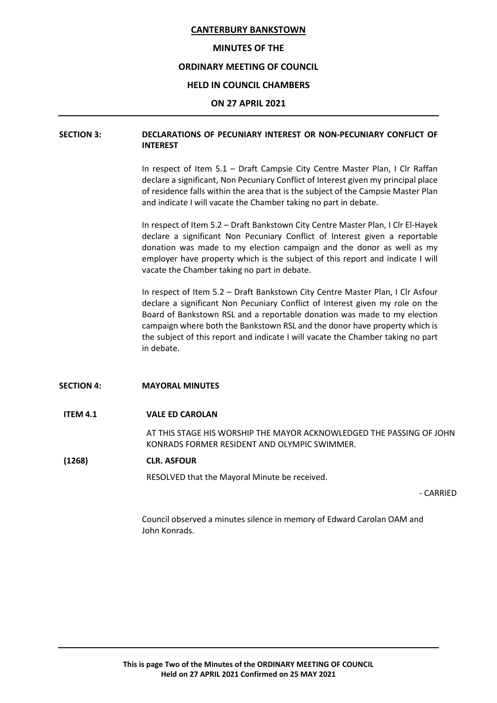#### **MINUTES OF THE**

# **ORDINARY MEETING OF COUNCIL**

#### **HELD IN COUNCIL CHAMBERS**

#### **ON 27 APRIL 2021**

# **SECTION 3: DECLARATIONS OF PECUNIARY INTEREST OR NON-PECUNIARY CONFLICT OF INTEREST**

In respect of Item 5.1 – Draft Campsie City Centre Master Plan, I Clr Raffan declare a significant, Non Pecuniary Conflict of Interest given my principal place of residence falls within the area that is the subject of the Campsie Master Plan and indicate I will vacate the Chamber taking no part in debate.

In respect of Item 5.2 – Draft Bankstown City Centre Master Plan, I Clr El-Hayek declare a significant Non Pecuniary Conflict of Interest given a reportable donation was made to my election campaign and the donor as well as my employer have property which is the subject of this report and indicate I will vacate the Chamber taking no part in debate.

In respect of Item 5.2 – Draft Bankstown City Centre Master Plan, I Clr Asfour declare a significant Non Pecuniary Conflict of Interest given my role on the Board of Bankstown RSL and a reportable donation was made to my election campaign where both the Bankstown RSL and the donor have property which is the subject of this report and indicate I will vacate the Chamber taking no part in debate.

#### **SECTION 4: MAYORAL MINUTES**

#### **ITEM 4.1 VALE ED CAROLAN**

AT THIS STAGE HIS WORSHIP THE MAYOR ACKNOWLEDGED THE PASSING OF JOHN KONRADS FORMER RESIDENT AND OLYMPIC SWIMMER.

#### **(1268) CLR. ASFOUR**

RESOLVED that the Mayoral Minute be received.

- CARRIED

Council observed a minutes silence in memory of Edward Carolan OAM and John Konrads.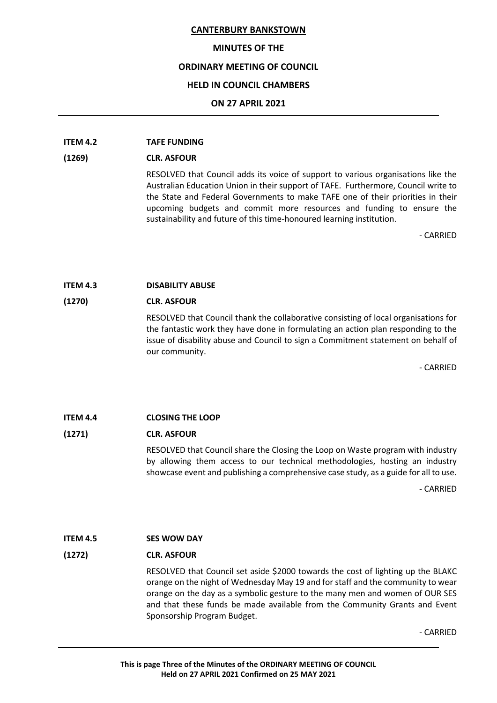#### **MINUTES OF THE**

# **ORDINARY MEETING OF COUNCIL**

### **HELD IN COUNCIL CHAMBERS**

## **ON 27 APRIL 2021**

# **ITEM 4.2 TAFE FUNDING**

# **(1269) CLR. ASFOUR**

RESOLVED that Council adds its voice of support to various organisations like the Australian Education Union in their support of TAFE. Furthermore, Council write to the State and Federal Governments to make TAFE one of their priorities in their upcoming budgets and commit more resources and funding to ensure the sustainability and future of this time-honoured learning institution.

- CARRIED

# **ITEM 4.3 DISABILITY ABUSE**

# **(1270) CLR. ASFOUR**

RESOLVED that Council thank the collaborative consisting of local organisations for the fantastic work they have done in formulating an action plan responding to the issue of disability abuse and Council to sign a Commitment statement on behalf of our community.

- CARRIED

# **ITEM 4.4 CLOSING THE LOOP**

# **(1271) CLR. ASFOUR**

RESOLVED that Council share the Closing the Loop on Waste program with industry by allowing them access to our technical methodologies, hosting an industry showcase event and publishing a comprehensive case study, as a guide for all to use.

- CARRIED

# **ITEM 4.5 SES WOW DAY**

#### **(1272) CLR. ASFOUR**

RESOLVED that Council set aside \$2000 towards the cost of lighting up the BLAKC orange on the night of Wednesday May 19 and for staff and the community to wear orange on the day as a symbolic gesture to the many men and women of OUR SES and that these funds be made available from the Community Grants and Event Sponsorship Program Budget.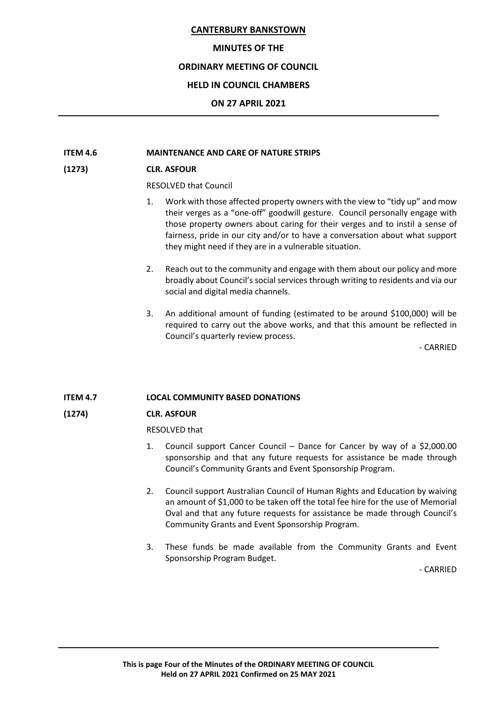## **MINUTES OF THE**

# **ORDINARY MEETING OF COUNCIL**

# **HELD IN COUNCIL CHAMBERS**

## **ON 27 APRIL 2021**

# **ITEM 4.6 MAINTENANCE AND CARE OF NATURE STRIPS**

# **(1273) CLR. ASFOUR**

RESOLVED that Council

- 1. Work with those affected property owners with the view to "tidy up" and mow their verges as a "one-off" goodwill gesture. Council personally engage with those property owners about caring for their verges and to instil a sense of fairness, pride in our city and/or to have a conversation about what support they might need if they are in a vulnerable situation.
- 2. Reach out to the community and engage with them about our policy and more broadly about Council's social services through writing to residents and via our social and digital media channels.
- 3. An additional amount of funding (estimated to be around \$100,000) will be required to carry out the above works, and that this amount be reflected in Council's quarterly review process.

- CARRIED

# **ITEM 4.7 LOCAL COMMUNITY BASED DONATIONS**

# **(1274) CLR. ASFOUR**

RESOLVED that

- 1. Council support Cancer Council Dance for Cancer by way of a \$2,000.00 sponsorship and that any future requests for assistance be made through Council's Community Grants and Event Sponsorship Program.
- 2. Council support Australian Council of Human Rights and Education by waiving an amount of \$1,000 to be taken off the total fee hire for the use of Memorial Oval and that any future requests for assistance be made through Council's Community Grants and Event Sponsorship Program.
- 3. These funds be made available from the Community Grants and Event Sponsorship Program Budget.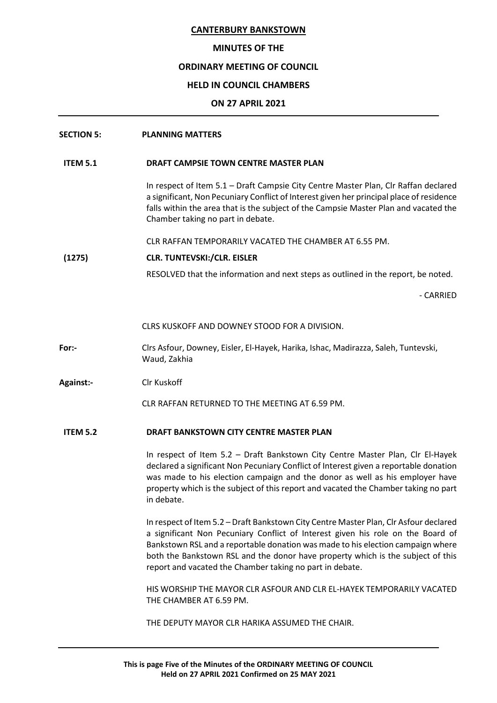## **MINUTES OF THE**

# **ORDINARY MEETING OF COUNCIL**

# **HELD IN COUNCIL CHAMBERS**

# **ON 27 APRIL 2021**

| <b>SECTION 5:</b> | <b>PLANNING MATTERS</b> |
|-------------------|-------------------------|
|                   |                         |

# **ITEM 5.1 DRAFT CAMPSIE TOWN CENTRE MASTER PLAN**

In respect of Item 5.1 – Draft Campsie City Centre Master Plan, Clr Raffan declared a significant, Non Pecuniary Conflict of Interest given her principal place of residence falls within the area that is the subject of the Campsie Master Plan and vacated the Chamber taking no part in debate.

CLR RAFFAN TEMPORARILY VACATED THE CHAMBER AT 6.55 PM.

# **(1275) CLR. TUNTEVSKI:/CLR. EISLER**

RESOLVED that the information and next steps as outlined in the report, be noted.

- CARRIED

CLRS KUSKOFF AND DOWNEY STOOD FOR A DIVISION.

- **For:-** Clrs Asfour, Downey, Eisler, El-Hayek, Harika, Ishac, Madirazza, Saleh, Tuntevski, Waud, Zakhia
- **Against:-** Clr Kuskoff

CLR RAFFAN RETURNED TO THE MEETING AT 6.59 PM.

# **ITEM 5.2 DRAFT BANKSTOWN CITY CENTRE MASTER PLAN**

In respect of Item 5.2 – Draft Bankstown City Centre Master Plan, Clr El-Hayek declared a significant Non Pecuniary Conflict of Interest given a reportable donation was made to his election campaign and the donor as well as his employer have property which is the subject of this report and vacated the Chamber taking no part in debate.

In respect of Item 5.2 – Draft Bankstown City Centre Master Plan, Clr Asfour declared a significant Non Pecuniary Conflict of Interest given his role on the Board of Bankstown RSL and a reportable donation was made to his election campaign where both the Bankstown RSL and the donor have property which is the subject of this report and vacated the Chamber taking no part in debate.

HIS WORSHIP THE MAYOR CLR ASFOUR AND CLR EL-HAYEK TEMPORARILY VACATED THE CHAMBER AT 6.59 PM.

THE DEPUTY MAYOR CLR HARIKA ASSUMED THE CHAIR.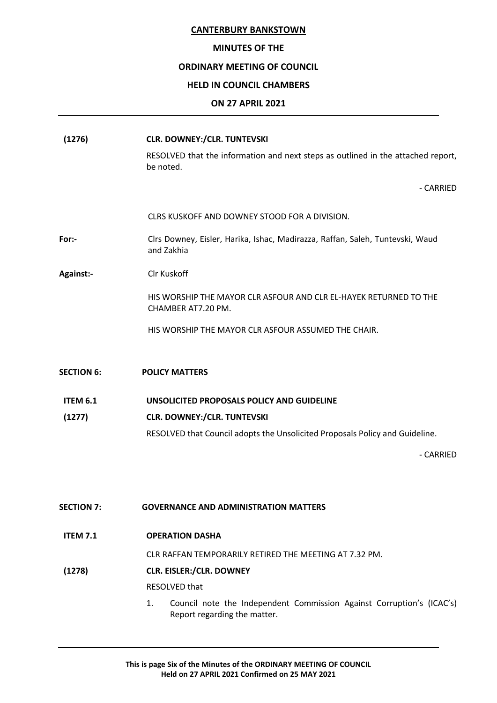#### **MINUTES OF THE**

# **ORDINARY MEETING OF COUNCIL**

#### **HELD IN COUNCIL CHAMBERS**

## **ON 27 APRIL 2021**

| (1276)            | <b>CLR. DOWNEY:/CLR. TUNTEVSKI</b>                                                            |
|-------------------|-----------------------------------------------------------------------------------------------|
|                   | RESOLVED that the information and next steps as outlined in the attached report,<br>be noted. |
|                   | - CARRIED                                                                                     |
|                   | CLRS KUSKOFF AND DOWNEY STOOD FOR A DIVISION.                                                 |
| For:-             | Clrs Downey, Eisler, Harika, Ishac, Madirazza, Raffan, Saleh, Tuntevski, Waud<br>and Zakhia   |
| <b>Against:-</b>  | <b>CIr Kuskoff</b>                                                                            |
|                   | HIS WORSHIP THE MAYOR CLR ASFOUR AND CLR EL-HAYEK RETURNED TO THE<br>CHAMBER AT7.20 PM.       |
|                   | HIS WORSHIP THE MAYOR CLR ASFOUR ASSUMED THE CHAIR.                                           |
| <b>SECTION 6:</b> | <b>POLICY MATTERS</b>                                                                         |
|                   |                                                                                               |
| <b>ITEM 6.1</b>   | UNSOLICITED PROPOSALS POLICY AND GUIDELINE                                                    |
| (1277)            | <b>CLR. DOWNEY:/CLR. TUNTEVSKI</b>                                                            |
|                   | RESOLVED that Council adopts the Unsolicited Proposals Policy and Guideline.                  |
|                   | - CARRIED                                                                                     |

# **SECTION 7: GOVERNANCE AND ADMINISTRATION MATTERS**

**ITEM 7.1 OPERATION DASHA**

CLR RAFFAN TEMPORARILY RETIRED THE MEETING AT 7.32 PM.

# **(1278) CLR. EISLER:/CLR. DOWNEY**

RESOLVED that

1. Council note the Independent Commission Against Corruption's (ICAC's) Report regarding the matter.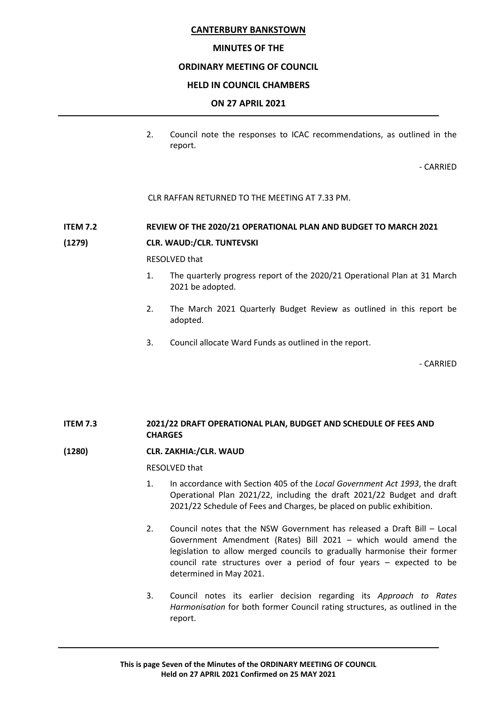# **MINUTES OF THE**

# **ORDINARY MEETING OF COUNCIL**

## **HELD IN COUNCIL CHAMBERS**

## **ON 27 APRIL 2021**

2. Council note the responses to ICAC recommendations, as outlined in the report.

- CARRIED

CLR RAFFAN RETURNED TO THE MEETING AT 7.33 PM.

# **ITEM 7.2 REVIEW OF THE 2020/21 OPERATIONAL PLAN AND BUDGET TO MARCH 2021**

#### **(1279) CLR. WAUD:/CLR. TUNTEVSKI**

RESOLVED that

- 1. The quarterly progress report of the 2020/21 Operational Plan at 31 March 2021 be adopted.
- 2. The March 2021 Quarterly Budget Review as outlined in this report be adopted.
- 3. Council allocate Ward Funds as outlined in the report.

- CARRIED

# **ITEM 7.3 2021/22 DRAFT OPERATIONAL PLAN, BUDGET AND SCHEDULE OF FEES AND CHARGES**

# **(1280) CLR. ZAKHIA:/CLR. WAUD**

RESOLVED that

- 1. In accordance with Section 405 of the *Local Government Act 1993*, the draft Operational Plan 2021/22, including the draft 2021/22 Budget and draft 2021/22 Schedule of Fees and Charges, be placed on public exhibition.
- 2. Council notes that the NSW Government has released a Draft Bill Local Government Amendment (Rates) Bill 2021 – which would amend the legislation to allow merged councils to gradually harmonise their former council rate structures over a period of four years – expected to be determined in May 2021.
- 3. Council notes its earlier decision regarding its *Approach to Rates Harmonisation* for both former Council rating structures, as outlined in the report.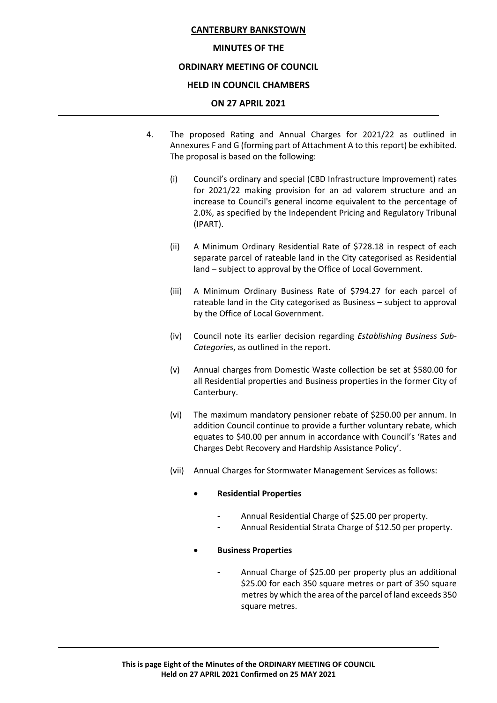# **MINUTES OF THE**

# **ORDINARY MEETING OF COUNCIL**

# **HELD IN COUNCIL CHAMBERS**

# **ON 27 APRIL 2021**

- 4. The proposed Rating and Annual Charges for 2021/22 as outlined in Annexures F and G (forming part of Attachment A to this report) be exhibited. The proposal is based on the following:
	- (i) Council's ordinary and special (CBD Infrastructure Improvement) rates for 2021/22 making provision for an ad valorem structure and an increase to Council's general income equivalent to the percentage of 2.0%, as specified by the Independent Pricing and Regulatory Tribunal (IPART).
	- (ii) A Minimum Ordinary Residential Rate of \$728.18 in respect of each separate parcel of rateable land in the City categorised as Residential land – subject to approval by the Office of Local Government.
	- (iii) A Minimum Ordinary Business Rate of \$794.27 for each parcel of rateable land in the City categorised as Business – subject to approval by the Office of Local Government.
	- (iv) Council note its earlier decision regarding *Establishing Business Sub-Categories*, as outlined in the report.
	- (v) Annual charges from Domestic Waste collection be set at \$580.00 for all Residential properties and Business properties in the former City of Canterbury.
	- (vi) The maximum mandatory pensioner rebate of \$250.00 per annum. In addition Council continue to provide a further voluntary rebate, which equates to \$40.00 per annum in accordance with Council's 'Rates and Charges Debt Recovery and Hardship Assistance Policy'.
	- (vii) Annual Charges for Stormwater Management Services as follows:

# • **Residential Properties**

- Annual Residential Charge of \$25.00 per property.
- Annual Residential Strata Charge of \$12.50 per property.

# • **Business Properties**

- Annual Charge of \$25.00 per property plus an additional \$25.00 for each 350 square metres or part of 350 square metres by which the area of the parcel of land exceeds 350 square metres.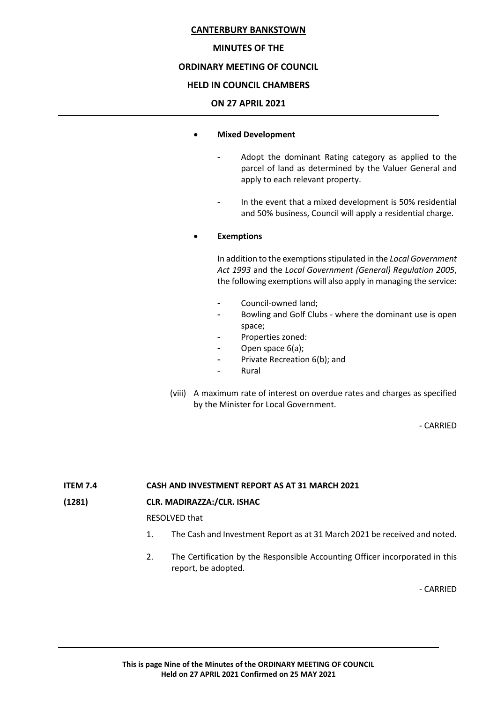#### **MINUTES OF THE**

# **ORDINARY MEETING OF COUNCIL**

#### **HELD IN COUNCIL CHAMBERS**

#### **ON 27 APRIL 2021**

#### • **Mixed Development**

- Adopt the dominant Rating category as applied to the parcel of land as determined by the Valuer General and apply to each relevant property.
- In the event that a mixed development is 50% residential and 50% business, Council will apply a residential charge.

# • **Exemptions**

In addition to the exemptions stipulated in the *Local Government Act 1993* and the *Local Government (General) Regulation 2005*, the following exemptions will also apply in managing the service:

- Council-owned land;
- Bowling and Golf Clubs where the dominant use is open space;
- Properties zoned:
- Open space 6(a);
- Private Recreation 6(b); and
- **Rural**
- (viii) A maximum rate of interest on overdue rates and charges as specified by the Minister for Local Government.

- CARRIED

# **ITEM 7.4 CASH AND INVESTMENT REPORT AS AT 31 MARCH 2021**

# **(1281) CLR. MADIRAZZA:/CLR. ISHAC**

RESOLVED that

- 1. The Cash and Investment Report as at 31 March 2021 be received and noted.
- 2. The Certification by the Responsible Accounting Officer incorporated in this report, be adopted.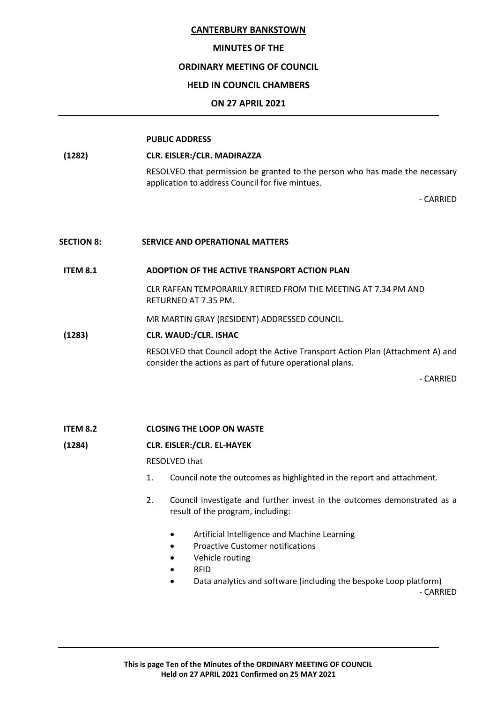#### **MINUTES OF THE**

## **ORDINARY MEETING OF COUNCIL**

## **HELD IN COUNCIL CHAMBERS**

## **ON 27 APRIL 2021**

#### **PUBLIC ADDRESS**

## **(1282) CLR. EISLER:/CLR. MADIRAZZA**

RESOLVED that permission be granted to the person who has made the necessary application to address Council for five mintues.

- CARRIED

#### **SECTION 8: SERVICE AND OPERATIONAL MATTERS**

# **ITEM 8.1 ADOPTION OF THE ACTIVE TRANSPORT ACTION PLAN**

CLR RAFFAN TEMPORARILY RETIRED FROM THE MEETING AT 7.34 PM AND RETURNED AT 7.35 PM.

MR MARTIN GRAY (RESIDENT) ADDRESSED COUNCIL.

#### **(1283) CLR. WAUD:/CLR. ISHAC**

RESOLVED that Council adopt the Active Transport Action Plan (Attachment A) and consider the actions as part of future operational plans.

- CARRIED

#### **ITEM 8.2 CLOSING THE LOOP ON WASTE**

#### **(1284) CLR. EISLER:/CLR. EL-HAYEK**

RESOLVED that

- 1. Council note the outcomes as highlighted in the report and attachment.
- 2. Council investigate and further invest in the outcomes demonstrated as a result of the program, including:
	- Artificial Intelligence and Machine Learning
	- Proactive Customer notifications
	- Vehicle routing
	- RFID
	- Data analytics and software (including the bespoke Loop platform)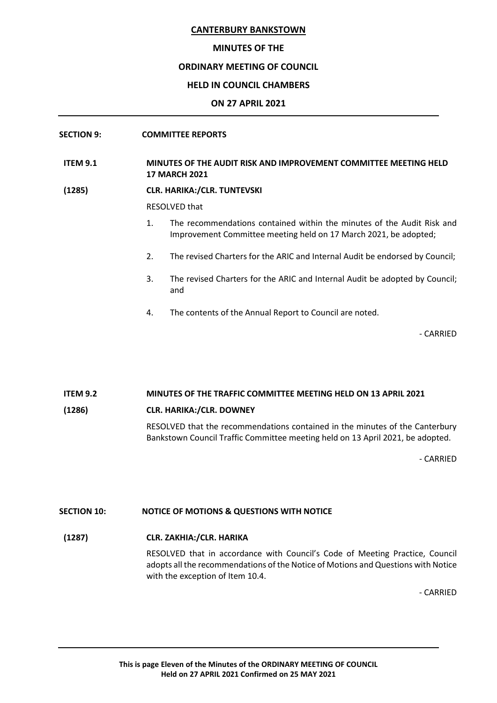#### **MINUTES OF THE**

# **ORDINARY MEETING OF COUNCIL**

#### **HELD IN COUNCIL CHAMBERS**

#### **ON 27 APRIL 2021**

## **SECTION 9: COMMITTEE REPORTS**

**ITEM 9.1 MINUTES OF THE AUDIT RISK AND IMPROVEMENT COMMITTEE MEETING HELD 17 MARCH 2021**

#### **(1285) CLR. HARIKA:/CLR. TUNTEVSKI**

RESOLVED that

- 1. The recommendations contained within the minutes of the Audit Risk and Improvement Committee meeting held on 17 March 2021, be adopted;
- 2. The revised Charters for the ARIC and Internal Audit be endorsed by Council;
- 3. The revised Charters for the ARIC and Internal Audit be adopted by Council; and
- 4. The contents of the Annual Report to Council are noted.

- CARRIED

# **ITEM 9.2 MINUTES OF THE TRAFFIC COMMITTEE MEETING HELD ON 13 APRIL 2021 (1286) CLR. HARIKA:/CLR. DOWNEY** RESOLVED that the recommendations contained in the minutes of the Canterbury

Bankstown Council Traffic Committee meeting held on 13 April 2021, be adopted.

- CARRIED

# **SECTION 10: NOTICE OF MOTIONS & QUESTIONS WITH NOTICE**

# **(1287) CLR. ZAKHIA:/CLR. HARIKA**

RESOLVED that in accordance with Council's Code of Meeting Practice, Council adopts all the recommendations of the Notice of Motions and Questions with Notice with the exception of Item 10.4.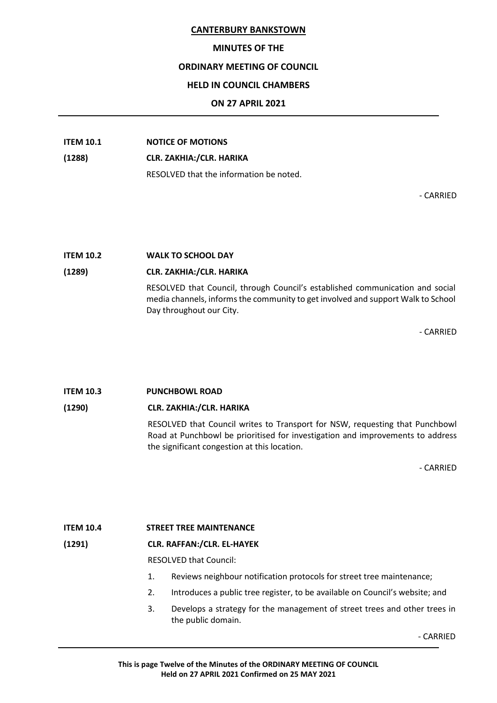## **MINUTES OF THE**

#### **ORDINARY MEETING OF COUNCIL**

### **HELD IN COUNCIL CHAMBERS**

#### **ON 27 APRIL 2021**

# **ITEM 10.1 NOTICE OF MOTIONS**

#### **(1288) CLR. ZAKHIA:/CLR. HARIKA**

RESOLVED that the information be noted.

- CARRIED

# **ITEM 10.2 WALK TO SCHOOL DAY**

# **(1289) CLR. ZAKHIA:/CLR. HARIKA**

RESOLVED that Council, through Council's established communication and social media channels, informs the community to get involved and support Walk to School Day throughout our City.

- CARRIED

# **ITEM 10.3 PUNCHBOWL ROAD (1290) CLR. ZAKHIA:/CLR. HARIKA** RESOLVED that Council writes to Transport for NSW, requesting that Punchbowl Road at Punchbowl be prioritised for investigation and improvements to address the significant congestion at this location.

- CARRIED

# **ITEM 10.4 STREET TREE MAINTENANCE**

# **(1291) CLR. RAFFAN:/CLR. EL-HAYEK**

RESOLVED that Council:

- 1. Reviews neighbour notification protocols for street tree maintenance;
- 2. Introduces a public tree register, to be available on Council's website; and
- 3. Develops a strategy for the management of street trees and other trees in the public domain.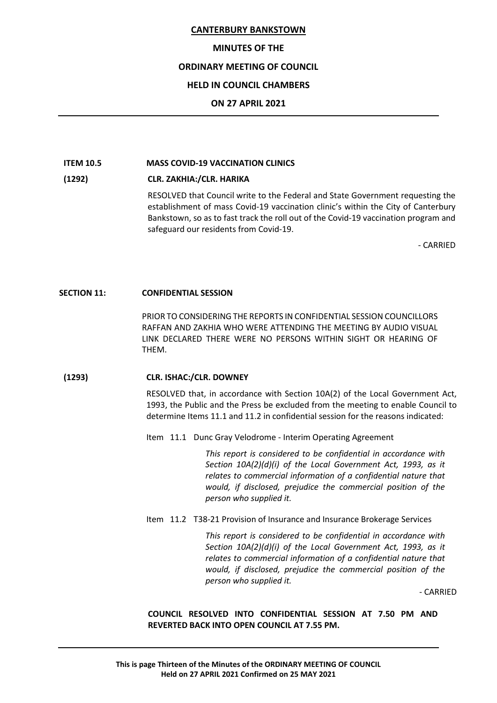#### **MINUTES OF THE**

# **ORDINARY MEETING OF COUNCIL**

# **HELD IN COUNCIL CHAMBERS**

## **ON 27 APRIL 2021**

# **ITEM 10.5 MASS COVID-19 VACCINATION CLINICS**

# **(1292) CLR. ZAKHIA:/CLR. HARIKA**

RESOLVED that Council write to the Federal and State Government requesting the establishment of mass Covid-19 vaccination clinic's within the City of Canterbury Bankstown, so as to fast track the roll out of the Covid-19 vaccination program and safeguard our residents from Covid-19.

- CARRIED

#### **SECTION 11: CONFIDENTIAL SESSION**

PRIOR TO CONSIDERING THE REPORTS IN CONFIDENTIAL SESSION COUNCILLORS RAFFAN AND ZAKHIA WHO WERE ATTENDING THE MEETING BY AUDIO VISUAL LINK DECLARED THERE WERE NO PERSONS WITHIN SIGHT OR HEARING OF THEM.

# **(1293) CLR. ISHAC:/CLR. DOWNEY**

RESOLVED that, in accordance with Section 10A(2) of the Local Government Act, 1993, the Public and the Press be excluded from the meeting to enable Council to determine Items 11.1 and 11.2 in confidential session for the reasons indicated:

Item 11.1 Dunc Gray Velodrome - Interim Operating Agreement

*This report is considered to be confidential in accordance with Section 10A(2)(d)(i) of the Local Government Act, 1993, as it relates to commercial information of a confidential nature that would, if disclosed, prejudice the commercial position of the person who supplied it.*

Item 11.2 T38-21 Provision of Insurance and Insurance Brokerage Services

*This report is considered to be confidential in accordance with Section 10A(2)(d)(i) of the Local Government Act, 1993, as it relates to commercial information of a confidential nature that would, if disclosed, prejudice the commercial position of the person who supplied it.*

- CARRIED

**COUNCIL RESOLVED INTO CONFIDENTIAL SESSION AT 7.50 PM AND REVERTED BACK INTO OPEN COUNCIL AT 7.55 PM.**